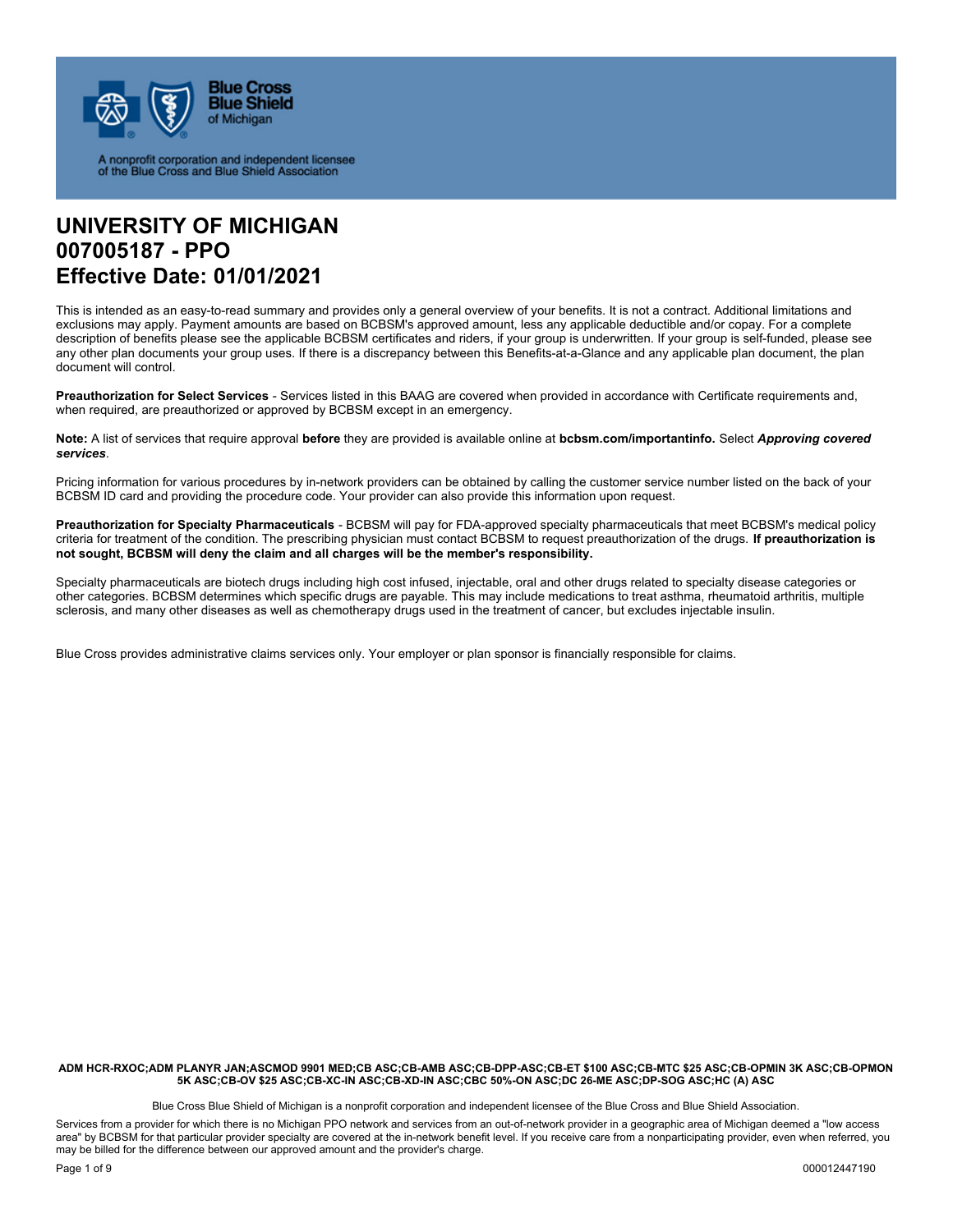

A nonprofit corporation and independent licensee<br>of the Blue Cross and Blue Shield Association

# **UNIVERSITY OF MICHIGAN 007005187 - PPO Effective Date: 01/01/2021**

This is intended as an easy-to-read summary and provides only a general overview of your benefits. It is not a contract. Additional limitations and exclusions may apply. Payment amounts are based on BCBSM's approved amount, less any applicable deductible and/or copay. For a complete description of benefits please see the applicable BCBSM certificates and riders, if your group is underwritten. If your group is self-funded, please see any other plan documents your group uses. If there is a discrepancy between this Benefits-at-a-Glance and any applicable plan document, the plan document will control.

**Preauthorization for Select Services** - Services listed in this BAAG are covered when provided in accordance with Certificate requirements and, when required, are preauthorized or approved by BCBSM except in an emergency.

**Note:** A list of services that require approval **before** they are provided is available online at **bcbsm.com/importantinfo.** Select *Approving covered services*.

Pricing information for various procedures by in-network providers can be obtained by calling the customer service number listed on the back of your BCBSM ID card and providing the procedure code. Your provider can also provide this information upon request.

**Preauthorization for Specialty Pharmaceuticals** - BCBSM will pay for FDA-approved specialty pharmaceuticals that meet BCBSM's medical policy criteria for treatment of the condition. The prescribing physician must contact BCBSM to request preauthorization of the drugs. **If preauthorization is not sought, BCBSM will deny the claim and all charges will be the member's responsibility.** 

Specialty pharmaceuticals are biotech drugs including high cost infused, injectable, oral and other drugs related to specialty disease categories or other categories. BCBSM determines which specific drugs are payable. This may include medications to treat asthma, rheumatoid arthritis, multiple sclerosis, and many other diseases as well as chemotherapy drugs used in the treatment of cancer, but excludes injectable insulin.

Blue Cross provides administrative claims services only. Your employer or plan sponsor is financially responsible for claims.

**ADM HCR-RXOC;ADM PLANYR JAN;ASCMOD 9901 MED;CB ASC;CB-AMB ASC;CB-DPP-ASC;CB-ET \$100 ASC;CB-MTC \$25 ASC;CB-OPMIN 3K ASC;CB-OPMON 5K ASC;CB-OV \$25 ASC;CB-XC-IN ASC;CB-XD-IN ASC;CBC 50%-ON ASC;DC 26-ME ASC;DP-SOG ASC;HC (A) ASC** 

Blue Cross Blue Shield of Michigan is a nonprofit corporation and independent licensee of the Blue Cross and Blue Shield Association.

Services from a provider for which there is no Michigan PPO network and services from an out-of-network provider in a geographic area of Michigan deemed a "low access area" by BCBSM for that particular provider specialty are covered at the in-network benefit level. If you receive care from a nonparticipating provider, even when referred, you may be billed for the difference between our approved amount and the provider's charge.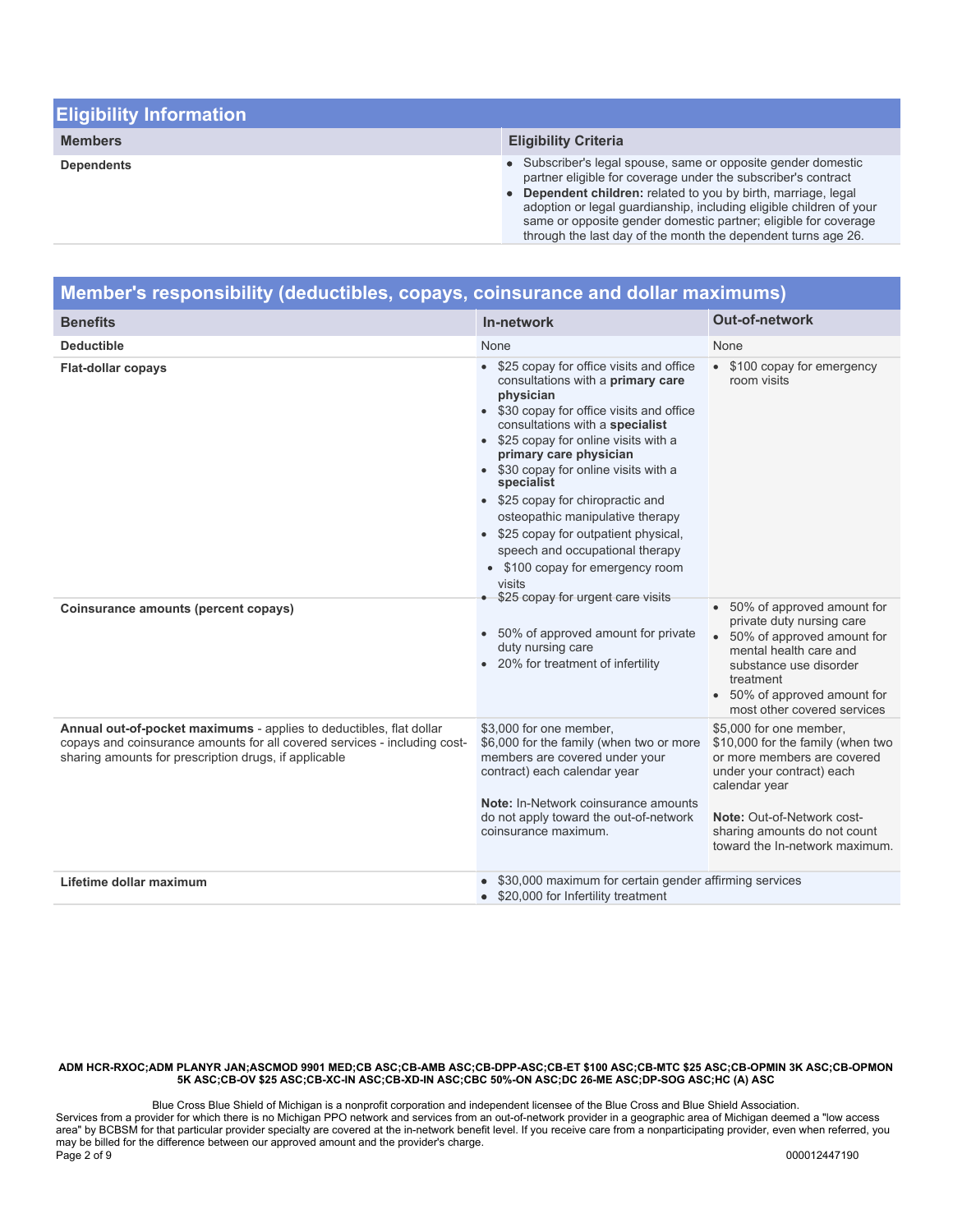| <b>Eligibility Information</b> |                                                                                                                                                                                                                                                                                                                                                                                                             |
|--------------------------------|-------------------------------------------------------------------------------------------------------------------------------------------------------------------------------------------------------------------------------------------------------------------------------------------------------------------------------------------------------------------------------------------------------------|
| <b>Members</b>                 | <b>Eligibility Criteria</b>                                                                                                                                                                                                                                                                                                                                                                                 |
| <b>Dependents</b>              | • Subscriber's legal spouse, same or opposite gender domestic<br>partner eligible for coverage under the subscriber's contract<br>• Dependent children: related to you by birth, marriage, legal<br>adoption or legal guardianship, including eligible children of your<br>same or opposite gender domestic partner; eligible for coverage<br>through the last day of the month the dependent turns age 26. |

| Member's responsibility (deductibles, copays, coinsurance and dollar maximums)                                                                                                                            |                                                                                                                                                                                                                                                                                                                                                                                                                                                                                                                                                                                                                                                |                                                                                                                                                                                                                                           |
|-----------------------------------------------------------------------------------------------------------------------------------------------------------------------------------------------------------|------------------------------------------------------------------------------------------------------------------------------------------------------------------------------------------------------------------------------------------------------------------------------------------------------------------------------------------------------------------------------------------------------------------------------------------------------------------------------------------------------------------------------------------------------------------------------------------------------------------------------------------------|-------------------------------------------------------------------------------------------------------------------------------------------------------------------------------------------------------------------------------------------|
| <b>Benefits</b>                                                                                                                                                                                           | In-network                                                                                                                                                                                                                                                                                                                                                                                                                                                                                                                                                                                                                                     | <b>Out-of-network</b>                                                                                                                                                                                                                     |
| <b>Deductible</b>                                                                                                                                                                                         | None                                                                                                                                                                                                                                                                                                                                                                                                                                                                                                                                                                                                                                           | None                                                                                                                                                                                                                                      |
| <b>Flat-dollar copays</b><br>Coinsurance amounts (percent copays)                                                                                                                                         | • \$25 copay for office visits and office<br>consultations with a primary care<br>physician<br>• \$30 copay for office visits and office<br>consultations with a specialist<br>• \$25 copay for online visits with a<br>primary care physician<br>• \$30 copay for online visits with a<br>specialist<br>• \$25 copay for chiropractic and<br>osteopathic manipulative therapy<br>• \$25 copay for outpatient physical,<br>speech and occupational therapy<br>• \$100 copay for emergency room<br>visits<br>\$25 copay for urgent care visits<br>50% of approved amount for private<br>duty nursing care<br>• 20% for treatment of infertility | • \$100 copay for emergency<br>room visits<br>• 50% of approved amount for<br>private duty nursing care<br>50% of approved amount for<br>mental health care and<br>substance use disorder<br>treatment                                    |
|                                                                                                                                                                                                           |                                                                                                                                                                                                                                                                                                                                                                                                                                                                                                                                                                                                                                                | • 50% of approved amount for<br>most other covered services                                                                                                                                                                               |
| Annual out-of-pocket maximums - applies to deductibles, flat dollar<br>copays and coinsurance amounts for all covered services - including cost-<br>sharing amounts for prescription drugs, if applicable | \$3,000 for one member,<br>\$6,000 for the family (when two or more<br>members are covered under your<br>contract) each calendar year<br>Note: In-Network coinsurance amounts<br>do not apply toward the out-of-network<br>coinsurance maximum.                                                                                                                                                                                                                                                                                                                                                                                                | \$5,000 for one member,<br>\$10,000 for the family (when two<br>or more members are covered<br>under your contract) each<br>calendar year<br>Note: Out-of-Network cost-<br>sharing amounts do not count<br>toward the In-network maximum. |
| Lifetime dollar maximum                                                                                                                                                                                   | \$30,000 maximum for certain gender affirming services<br>\$20,000 for Infertility treatment<br>$\bullet$                                                                                                                                                                                                                                                                                                                                                                                                                                                                                                                                      |                                                                                                                                                                                                                                           |

Blue Cross Blue Shield of Michigan is a nonprofit corporation and independent licensee of the Blue Cross and Blue Shield Association. Services from a provider for which there is no Michigan PPO network and services from an out-of-network provider in a geographic area of Michigan deemed a "low access area" by BCBSM for that particular provider specialty are covered at the in-network benefit level. If you receive care from a nonparticipating provider, even when referred, you may be billed for the difference between our approved amount and the provider's charge. Page 2 of 9 000012447190 000012447190 000012447190 000012447190 000012447190 000012447190 000012447190 0000124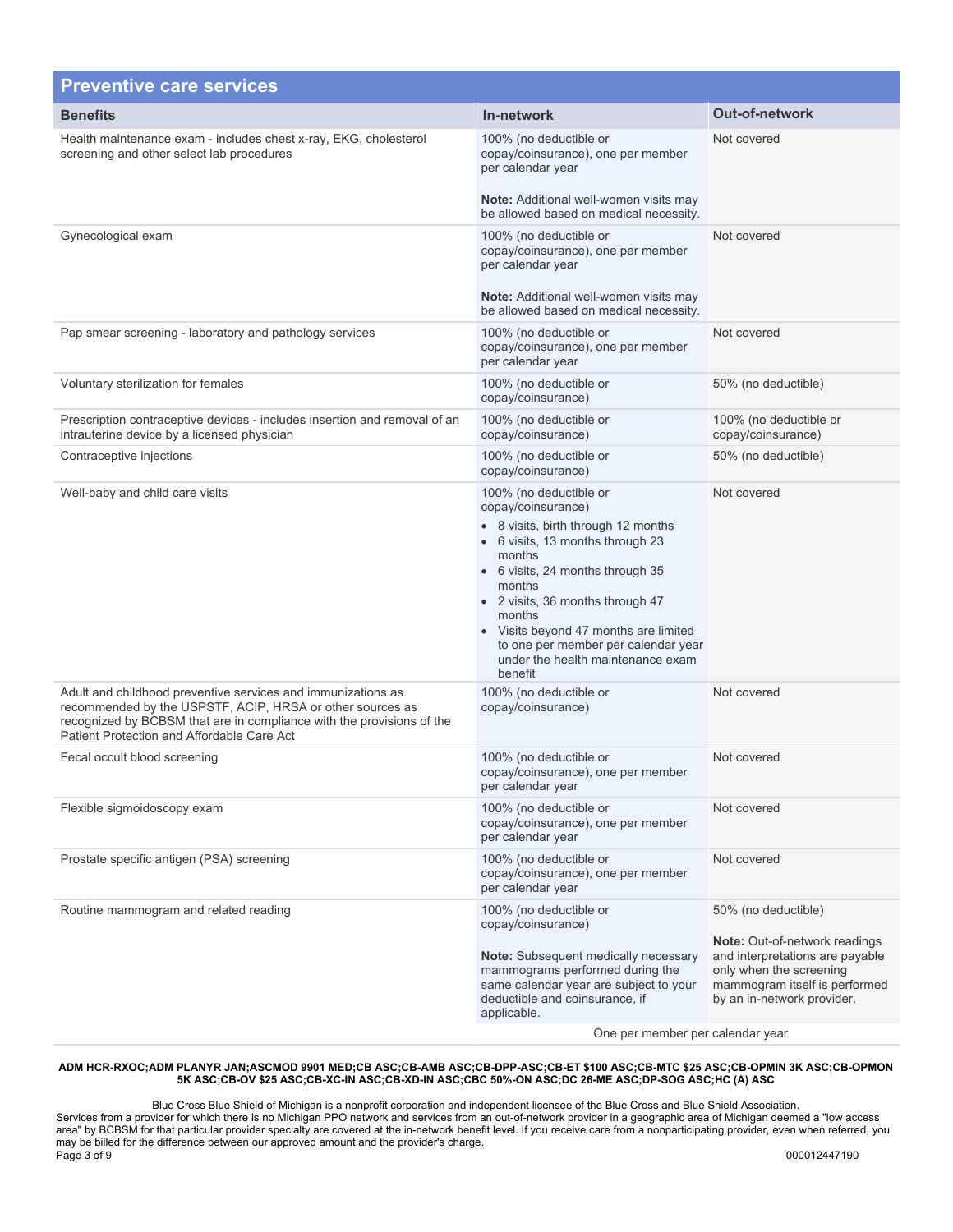| <b>Preventive care services</b>                                                                                                                                                                                                                  |                                                                                                                                                                                                                                                                                                                                                               |                                                                                                                                                                                          |
|--------------------------------------------------------------------------------------------------------------------------------------------------------------------------------------------------------------------------------------------------|---------------------------------------------------------------------------------------------------------------------------------------------------------------------------------------------------------------------------------------------------------------------------------------------------------------------------------------------------------------|------------------------------------------------------------------------------------------------------------------------------------------------------------------------------------------|
| <b>Benefits</b>                                                                                                                                                                                                                                  | In-network                                                                                                                                                                                                                                                                                                                                                    | <b>Out-of-network</b>                                                                                                                                                                    |
| Health maintenance exam - includes chest x-ray, EKG, cholesterol<br>screening and other select lab procedures                                                                                                                                    | 100% (no deductible or<br>copay/coinsurance), one per member<br>per calendar year<br><b>Note:</b> Additional well-women visits may<br>be allowed based on medical necessity.                                                                                                                                                                                  | Not covered                                                                                                                                                                              |
| Gynecological exam                                                                                                                                                                                                                               | 100% (no deductible or<br>copay/coinsurance), one per member<br>per calendar year<br><b>Note:</b> Additional well-women visits may<br>be allowed based on medical necessity.                                                                                                                                                                                  | Not covered                                                                                                                                                                              |
| Pap smear screening - laboratory and pathology services                                                                                                                                                                                          | 100% (no deductible or<br>copay/coinsurance), one per member<br>per calendar year                                                                                                                                                                                                                                                                             | Not covered                                                                                                                                                                              |
| Voluntary sterilization for females                                                                                                                                                                                                              | 100% (no deductible or<br>copay/coinsurance)                                                                                                                                                                                                                                                                                                                  | 50% (no deductible)                                                                                                                                                                      |
| Prescription contraceptive devices - includes insertion and removal of an<br>intrauterine device by a licensed physician                                                                                                                         | 100% (no deductible or<br>copay/coinsurance)                                                                                                                                                                                                                                                                                                                  | 100% (no deductible or<br>copay/coinsurance)                                                                                                                                             |
| Contraceptive injections                                                                                                                                                                                                                         | 100% (no deductible or<br>copay/coinsurance)                                                                                                                                                                                                                                                                                                                  | 50% (no deductible)                                                                                                                                                                      |
| Well-baby and child care visits                                                                                                                                                                                                                  | 100% (no deductible or<br>copay/coinsurance)<br>• 8 visits, birth through 12 months<br>• 6 visits, 13 months through 23<br>months<br>• 6 visits, 24 months through 35<br>months<br>• 2 visits, 36 months through 47<br>months<br>• Visits beyond 47 months are limited<br>to one per member per calendar year<br>under the health maintenance exam<br>benefit | Not covered                                                                                                                                                                              |
| Adult and childhood preventive services and immunizations as<br>recommended by the USPSTF, ACIP, HRSA or other sources as<br>recognized by BCBSM that are in compliance with the provisions of the<br>Patient Protection and Affordable Care Act | 100% (no deductible or<br>copay/coinsurance)                                                                                                                                                                                                                                                                                                                  | Not covered                                                                                                                                                                              |
| Fecal occult blood screening                                                                                                                                                                                                                     | 100% (no deductible or<br>copay/coinsurance), one per member<br>per calendar year                                                                                                                                                                                                                                                                             | Not covered                                                                                                                                                                              |
| Flexible sigmoidoscopy exam                                                                                                                                                                                                                      | 100% (no deductible or<br>copay/coinsurance), one per member<br>per calendar year                                                                                                                                                                                                                                                                             | Not covered                                                                                                                                                                              |
| Prostate specific antigen (PSA) screening                                                                                                                                                                                                        | 100% (no deductible or<br>copay/coinsurance), one per member<br>per calendar year                                                                                                                                                                                                                                                                             | Not covered                                                                                                                                                                              |
| Routine mammogram and related reading                                                                                                                                                                                                            | 100% (no deductible or<br>copay/coinsurance)<br><b>Note:</b> Subsequent medically necessary<br>mammograms performed during the<br>same calendar year are subject to your<br>deductible and coinsurance, if<br>applicable.<br>One per member per colonder vegr                                                                                                 | 50% (no deductible)<br><b>Note: Out-of-network readings</b><br>and interpretations are payable<br>only when the screening<br>mammogram itself is performed<br>by an in-network provider. |

One per member per calendar year

#### **ADM HCR-RXOC;ADM PLANYR JAN;ASCMOD 9901 MED;CB ASC;CB-AMB ASC;CB-DPP-ASC;CB-ET \$100 ASC;CB-MTC \$25 ASC;CB-OPMIN 3K ASC;CB-OPMON 5K ASC;CB-OV \$25 ASC;CB-XC-IN ASC;CB-XD-IN ASC;CBC 50%-ON ASC;DC 26-ME ASC;DP-SOG ASC;HC (A) ASC**

Blue Cross Blue Shield of Michigan is a nonprofit corporation and independent licensee of the Blue Cross and Blue Shield Association. Services from a provider for which there is no Michigan PPO network and services from an out-of-network provider in a geographic area of Michigan deemed a "low access area" by BCBSM for that particular provider specialty are covered at the in-network benefit level. If you receive care from a nonparticipating provider, even when referred, you may be billed for the difference between our approved amount and the provider's charge. Page 3 of 9 000012447190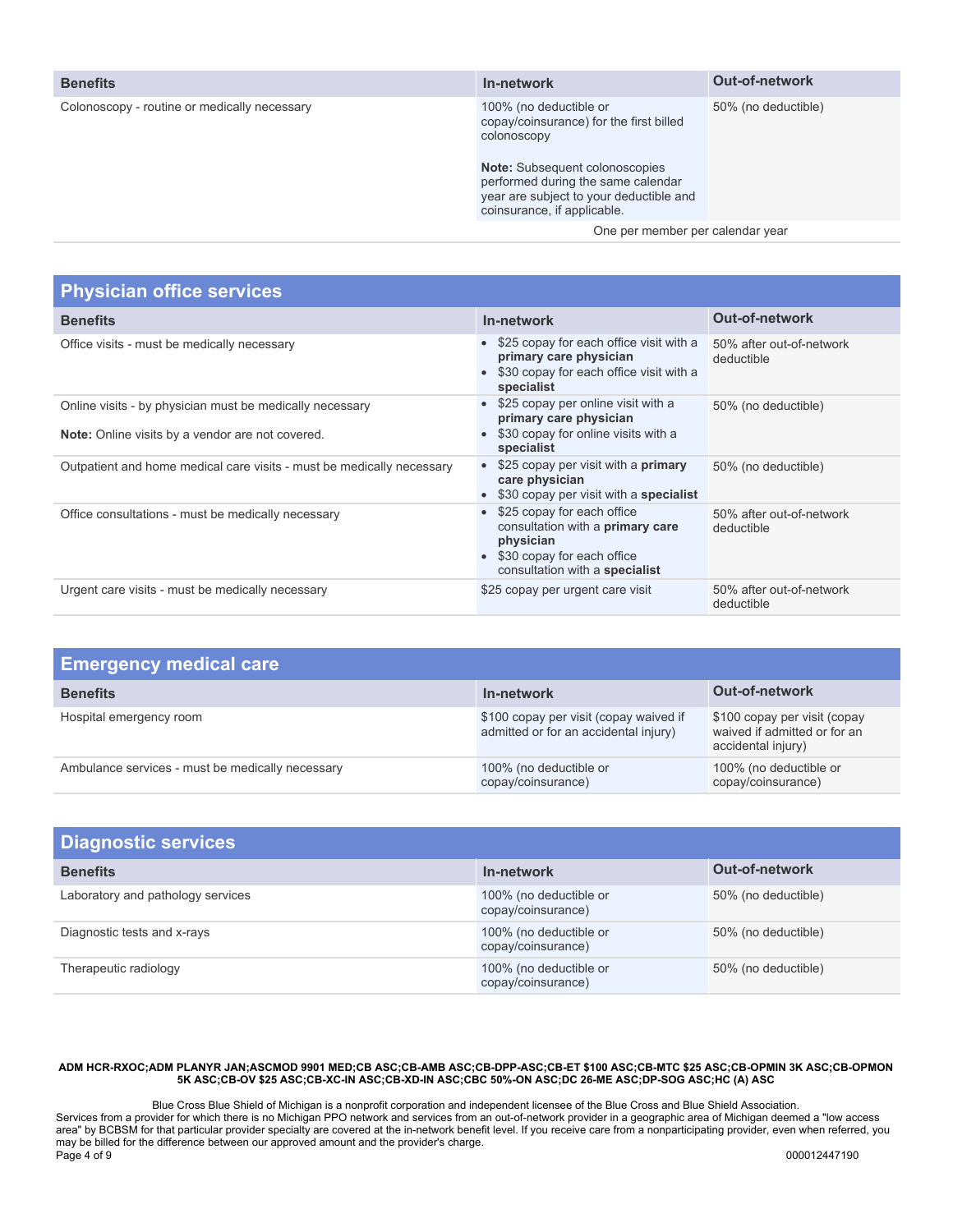| <b>Benefits</b>                              | In-network                                                                                                                                                                                                                                | <b>Out-of-network</b> |
|----------------------------------------------|-------------------------------------------------------------------------------------------------------------------------------------------------------------------------------------------------------------------------------------------|-----------------------|
| Colonoscopy - routine or medically necessary | 100% (no deductible or<br>copay/coinsurance) for the first billed<br>colonoscopy<br><b>Note:</b> Subsequent colonoscopies<br>performed during the same calendar<br>year are subject to your deductible and<br>coinsurance, if applicable. | 50% (no deductible)   |
|                                              | One per member per calendar year                                                                                                                                                                                                          |                       |
|                                              |                                                                                                                                                                                                                                           |                       |

| <b>Physician office services</b>                                      |                                                                                                                                                    |                                        |
|-----------------------------------------------------------------------|----------------------------------------------------------------------------------------------------------------------------------------------------|----------------------------------------|
| <b>Benefits</b>                                                       | In-network                                                                                                                                         | <b>Out-of-network</b>                  |
| Office visits - must be medically necessary                           | • \$25 copay for each office visit with a<br>primary care physician<br>\$30 copay for each office visit with a<br>specialist                       | 50% after out-of-network<br>deductible |
| Online visits - by physician must be medically necessary              | \$25 copay per online visit with a<br>primary care physician                                                                                       | 50% (no deductible)                    |
| <b>Note:</b> Online visits by a vendor are not covered.               | \$30 copay for online visits with a<br>specialist                                                                                                  |                                        |
| Outpatient and home medical care visits - must be medically necessary | \$25 copay per visit with a <b>primary</b><br>care physician<br>• \$30 copay per visit with a specialist                                           | 50% (no deductible)                    |
| Office consultations - must be medically necessary                    | \$25 copay for each office<br>consultation with a <b>primary care</b><br>physician<br>\$30 copay for each office<br>consultation with a specialist | 50% after out-of-network<br>deductible |
| Urgent care visits - must be medically necessary                      | \$25 copay per urgent care visit                                                                                                                   | 50% after out-of-network<br>deductible |

| <b>Emergency medical care</b>                    |                                                                                 |                                                                                    |
|--------------------------------------------------|---------------------------------------------------------------------------------|------------------------------------------------------------------------------------|
| <b>Benefits</b>                                  | In-network                                                                      | <b>Out-of-network</b>                                                              |
| Hospital emergency room                          | \$100 copay per visit (copay waived if<br>admitted or for an accidental injury) | \$100 copay per visit (copay<br>waived if admitted or for an<br>accidental injury) |
| Ambulance services - must be medically necessary | 100% (no deductible or<br>copay/coinsurance)                                    | 100% (no deductible or<br>copay/coinsurance)                                       |

| <b>Diagnostic services</b>        |                                              |                       |
|-----------------------------------|----------------------------------------------|-----------------------|
| <b>Benefits</b>                   | In-network                                   | <b>Out-of-network</b> |
| Laboratory and pathology services | 100% (no deductible or<br>copay/coinsurance) | 50% (no deductible)   |
| Diagnostic tests and x-rays       | 100% (no deductible or<br>copay/coinsurance) | 50% (no deductible)   |
| Therapeutic radiology             | 100% (no deductible or<br>copay/coinsurance) | 50% (no deductible)   |

Blue Cross Blue Shield of Michigan is a nonprofit corporation and independent licensee of the Blue Cross and Blue Shield Association. Services from a provider for which there is no Michigan PPO network and services from an out-of-network provider in a geographic area of Michigan deemed a "low access area" by BCBSM for that particular provider specialty are covered at the in-network benefit level. If you receive care from a nonparticipating provider, even when referred, you may be billed for the difference between our approved amount and the provider's charge. Page 4 of 9 000012447190 000012447190 000012447190 000012447190 000012447190 000012447190 000012447190 0000124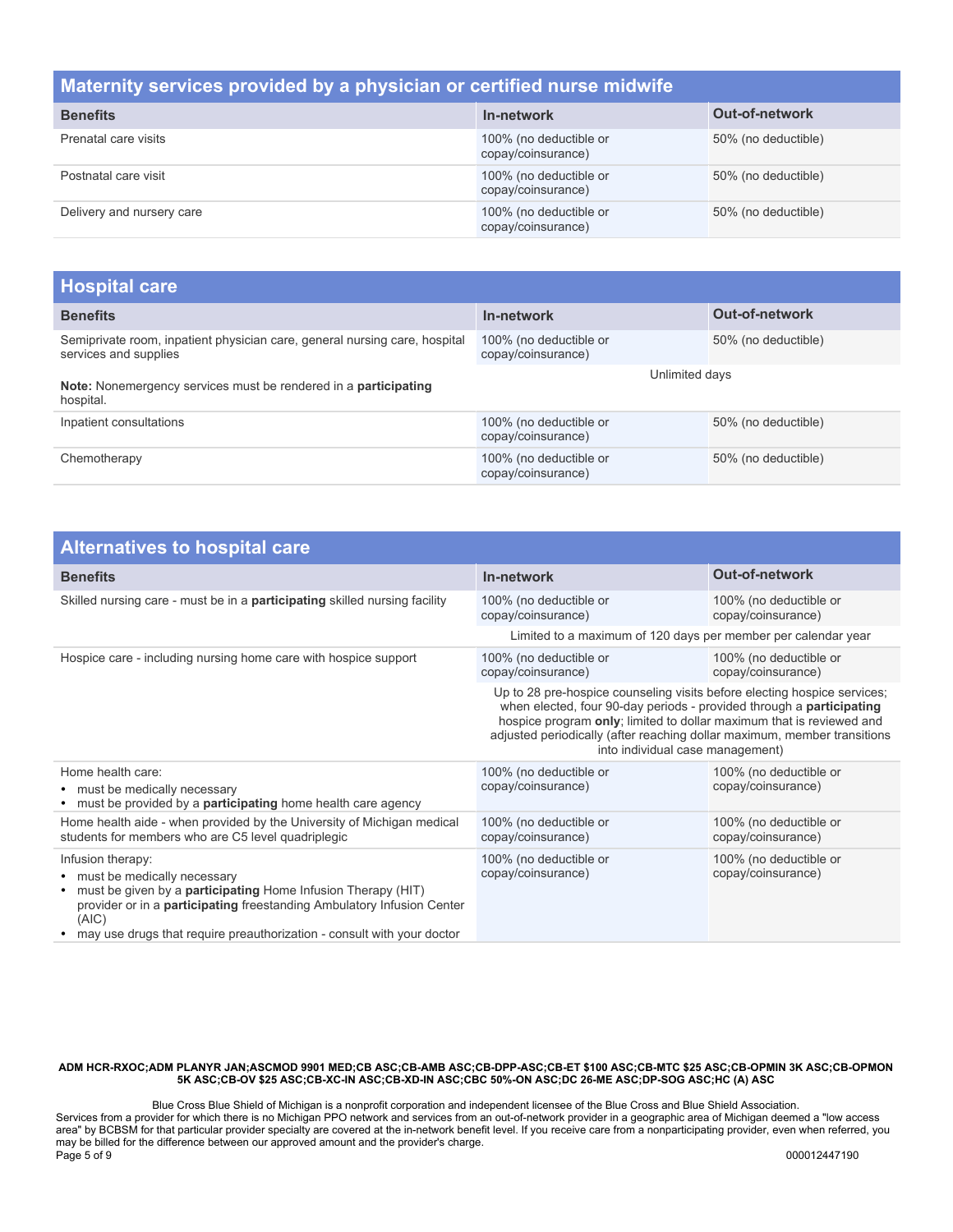## **Maternity services provided by a physician or certified nurse midwife**

| <b>Benefits</b>           | In-network                                   | <b>Out-of-network</b> |
|---------------------------|----------------------------------------------|-----------------------|
| Prenatal care visits      | 100% (no deductible or<br>copay/coinsurance) | 50% (no deductible)   |
| Postnatal care visit      | 100% (no deductible or<br>copay/coinsurance) | 50% (no deductible)   |
| Delivery and nursery care | 100% (no deductible or<br>copay/coinsurance) | 50% (no deductible)   |

| <b>Hospital care</b>                                                                                |                                              |                       |
|-----------------------------------------------------------------------------------------------------|----------------------------------------------|-----------------------|
| <b>Benefits</b>                                                                                     | In-network                                   | <b>Out-of-network</b> |
| Semiprivate room, inpatient physician care, general nursing care, hospital<br>services and supplies | 100% (no deductible or<br>copay/coinsurance) | 50% (no deductible)   |
| Note: Nonemergency services must be rendered in a participating<br>hospital.                        | Unlimited days                               |                       |
| Inpatient consultations                                                                             | 100% (no deductible or<br>copay/coinsurance) | 50% (no deductible)   |
| Chemotherapy                                                                                        | 100% (no deductible or<br>copay/coinsurance) | 50% (no deductible)   |

| <b>Alternatives to hospital care</b>                                                                                                                                                                                                                                                                       |                                                                                                                                                                                                                                                                                                                                          |                                              |
|------------------------------------------------------------------------------------------------------------------------------------------------------------------------------------------------------------------------------------------------------------------------------------------------------------|------------------------------------------------------------------------------------------------------------------------------------------------------------------------------------------------------------------------------------------------------------------------------------------------------------------------------------------|----------------------------------------------|
| <b>Benefits</b>                                                                                                                                                                                                                                                                                            | In-network                                                                                                                                                                                                                                                                                                                               | <b>Out-of-network</b>                        |
| Skilled nursing care - must be in a <b>participating</b> skilled nursing facility                                                                                                                                                                                                                          | 100% (no deductible or<br>copay/coinsurance)                                                                                                                                                                                                                                                                                             | 100% (no deductible or<br>copay/coinsurance) |
|                                                                                                                                                                                                                                                                                                            | Limited to a maximum of 120 days per member per calendar year                                                                                                                                                                                                                                                                            |                                              |
| Hospice care - including nursing home care with hospice support                                                                                                                                                                                                                                            | 100% (no deductible or<br>copay/coinsurance)                                                                                                                                                                                                                                                                                             | 100% (no deductible or<br>copay/coinsurance) |
|                                                                                                                                                                                                                                                                                                            | Up to 28 pre-hospice counseling visits before electing hospice services;<br>when elected, four 90-day periods - provided through a participating<br>hospice program only; limited to dollar maximum that is reviewed and<br>adjusted periodically (after reaching dollar maximum, member transitions<br>into individual case management) |                                              |
| Home health care:<br>• must be medically necessary<br>must be provided by a <b>participating</b> home health care agency<br>٠                                                                                                                                                                              | 100% (no deductible or<br>copay/coinsurance)                                                                                                                                                                                                                                                                                             | 100% (no deductible or<br>copay/coinsurance) |
| Home health aide - when provided by the University of Michigan medical<br>students for members who are C5 level quadriplegic                                                                                                                                                                               | 100% (no deductible or<br>copay/coinsurance)                                                                                                                                                                                                                                                                                             | 100% (no deductible or<br>copay/coinsurance) |
| Infusion therapy:<br>• must be medically necessary<br>must be given by a <b>participating</b> Home Infusion Therapy (HIT)<br>$\bullet$<br>provider or in a <b>participating</b> freestanding Ambulatory Infusion Center<br>(AIC)<br>may use drugs that require preauthorization - consult with your doctor | 100% (no deductible or<br>copay/coinsurance)                                                                                                                                                                                                                                                                                             | 100% (no deductible or<br>copay/coinsurance) |

#### **ADM HCR-RXOC;ADM PLANYR JAN;ASCMOD 9901 MED;CB ASC;CB-AMB ASC;CB-DPP-ASC;CB-ET \$100 ASC;CB-MTC \$25 ASC;CB-OPMIN 3K ASC;CB-OPMON 5K ASC;CB-OV \$25 ASC;CB-XC-IN ASC;CB-XD-IN ASC;CBC 50%-ON ASC;DC 26-ME ASC;DP-SOG ASC;HC (A) ASC**

Blue Cross Blue Shield of Michigan is a nonprofit corporation and independent licensee of the Blue Cross and Blue Shield Association. Services from a provider for which there is no Michigan PPO network and services from an out-of-network provider in a geographic area of Michigan deemed a "low access area" by BCBSM for that particular provider specialty are covered at the in-network benefit level. If you receive care from a nonparticipating provider, even when referred, you may be billed for the difference between our approved amount and the provider's charge. Page 5 of 9 000012447190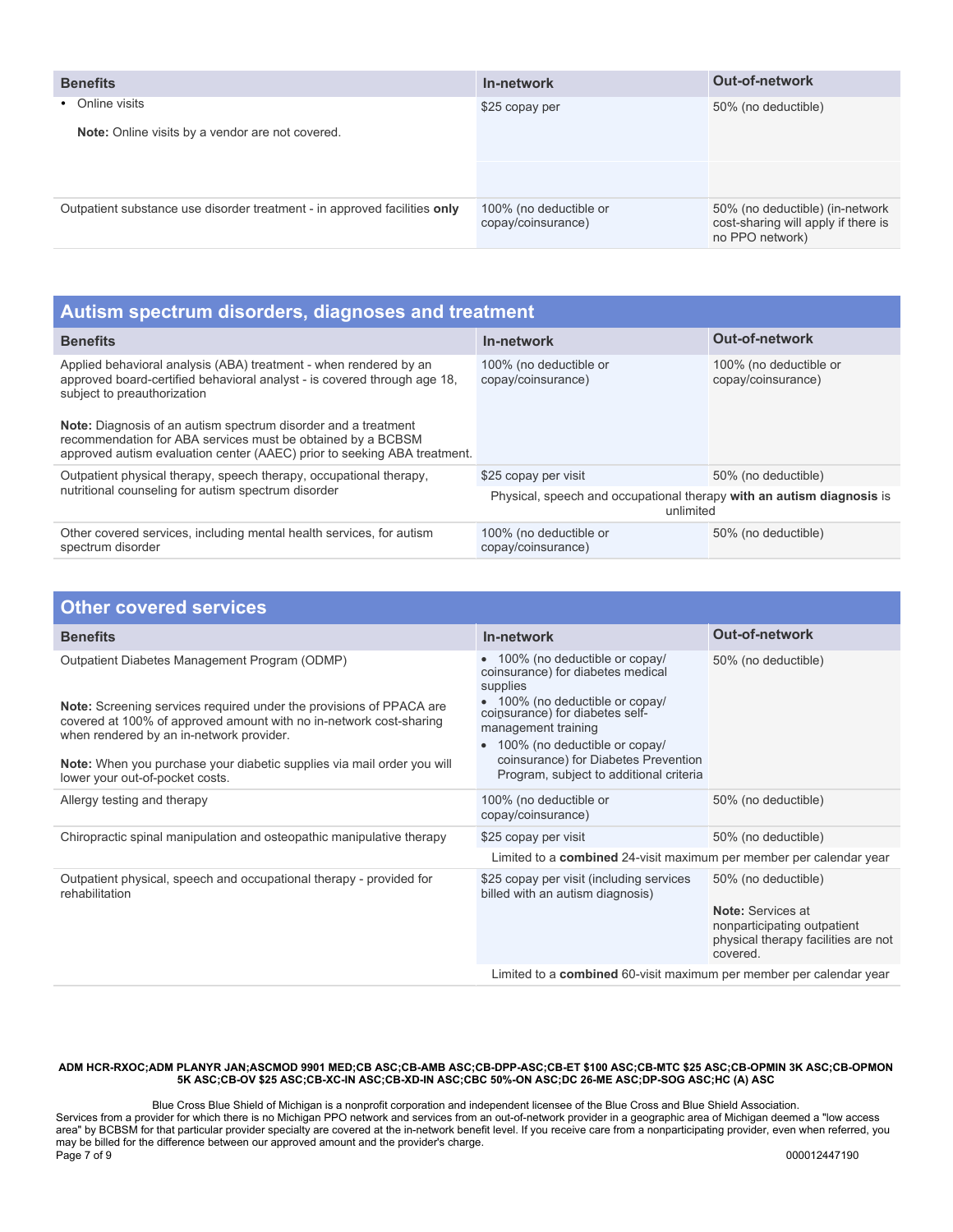| <b>Benefits</b>                                                           | In-network                                   | <b>Out-of-network</b>                                                                     |
|---------------------------------------------------------------------------|----------------------------------------------|-------------------------------------------------------------------------------------------|
| • Online visits                                                           | \$25 copay per online visit                  | 50% (no deductible)                                                                       |
| Note: Online visits by a vendor are not covered.                          |                                              |                                                                                           |
|                                                                           |                                              |                                                                                           |
| Outpatient substance use disorder treatment - in approved facilities only | 100% (no deductible or<br>copay/coinsurance) | 50% (no deductible) (in-network<br>cost-sharing will apply if there is<br>no PPO network) |

| Autism spectrum disorders, diagnoses and treatment                                                                                                                                                                                                                                                                                                                                               |                                                                                    |                                              |  |
|--------------------------------------------------------------------------------------------------------------------------------------------------------------------------------------------------------------------------------------------------------------------------------------------------------------------------------------------------------------------------------------------------|------------------------------------------------------------------------------------|----------------------------------------------|--|
| <b>Benefits</b>                                                                                                                                                                                                                                                                                                                                                                                  | In-network                                                                         | <b>Out-of-network</b>                        |  |
| Applied behavioral analysis (ABA) treatment - when rendered by an<br>approved board-certified behavioral analyst - is covered through age 18.<br>subject to preauthorization<br><b>Note:</b> Diagnosis of an autism spectrum disorder and a treatment<br>recommendation for ABA services must be obtained by a BCBSM<br>approved autism evaluation center (AAEC) prior to seeking ABA treatment. | 100% (no deductible or<br>copay/coinsurance)                                       | 100% (no deductible or<br>copay/coinsurance) |  |
| Outpatient physical therapy, speech therapy, occupational therapy,                                                                                                                                                                                                                                                                                                                               | \$25 copay per visit                                                               | 50% (no deductible)                          |  |
| nutritional counseling for autism spectrum disorder                                                                                                                                                                                                                                                                                                                                              | Physical, speech and occupational therapy with an autism diagnosis is<br>unlimited |                                              |  |
| Other covered services, including mental health services, for autism<br>spectrum disorder                                                                                                                                                                                                                                                                                                        | 100% (no deductible or<br>copay/coinsurance)                                       | 50% (no deductible)                          |  |

| <b>Other covered services</b>                                                                                                                                                                                                                                                                                                                                                      |                                                                                                                                                                                                                                                                                                                             |                                                                                                                            |  |
|------------------------------------------------------------------------------------------------------------------------------------------------------------------------------------------------------------------------------------------------------------------------------------------------------------------------------------------------------------------------------------|-----------------------------------------------------------------------------------------------------------------------------------------------------------------------------------------------------------------------------------------------------------------------------------------------------------------------------|----------------------------------------------------------------------------------------------------------------------------|--|
| <b>Benefits</b>                                                                                                                                                                                                                                                                                                                                                                    | In-network                                                                                                                                                                                                                                                                                                                  | <b>Out-of-network</b>                                                                                                      |  |
| Outpatient Diabetes Management Program (ODMP)<br>Note: Screening services required under the provisions of PPACA are<br>covered at 100% of approved amount with no in-network cost-sharing<br>when rendered by an in-network provider.<br>Note: When you purchase your diabetic supplies via mail order you will<br>lower your out-of-pocket costs.<br>Allergy testing and therapy | • 100% (no deductible or copay/<br>coinsurance) for diabetes medical<br>supplies<br>• 100% (no deductible or copay/<br>coinsurance) for diabetes self-<br>management training<br>100% (no deductible or copay/<br>coinsurance) for Diabetes Prevention<br>Program, subject to additional criteria<br>100% (no deductible or | 50% (no deductible)<br>50% (no deductible)                                                                                 |  |
|                                                                                                                                                                                                                                                                                                                                                                                    | copay/coinsurance)                                                                                                                                                                                                                                                                                                          |                                                                                                                            |  |
| Chiropractic spinal manipulation and osteopathic manipulative therapy                                                                                                                                                                                                                                                                                                              | \$25 copay per visit                                                                                                                                                                                                                                                                                                        | 50% (no deductible)                                                                                                        |  |
|                                                                                                                                                                                                                                                                                                                                                                                    | Limited to a combined 24-visit maximum per member per calendar year                                                                                                                                                                                                                                                         |                                                                                                                            |  |
| Outpatient physical, speech and occupational therapy - provided for<br>rehabilitation                                                                                                                                                                                                                                                                                              | \$25 copay per visit (including services<br>billed with an autism diagnosis)                                                                                                                                                                                                                                                | 50% (no deductible)<br>Note: Services at<br>nonparticipating outpatient<br>physical therapy facilities are not<br>covered. |  |
|                                                                                                                                                                                                                                                                                                                                                                                    | Limited to a combined 60-visit maximum per member per calendar year                                                                                                                                                                                                                                                         |                                                                                                                            |  |

Blue Cross Blue Shield of Michigan is a nonprofit corporation and independent licensee of the Blue Cross and Blue Shield Association. Services from a provider for which there is no Michigan PPO network and services from an out-of-network provider in a geographic area of Michigan deemed a "low access area" by BCBSM for that particular provider specialty are covered at the in-network benefit level. If you receive care from a nonparticipating provider, even when referred, you may be billed for the difference between our approved amount and the provider's charge. Page 7 of 9 000012447190 000012447190 000012447190 000012447190 000012447190 000012447190 000012447190 0000124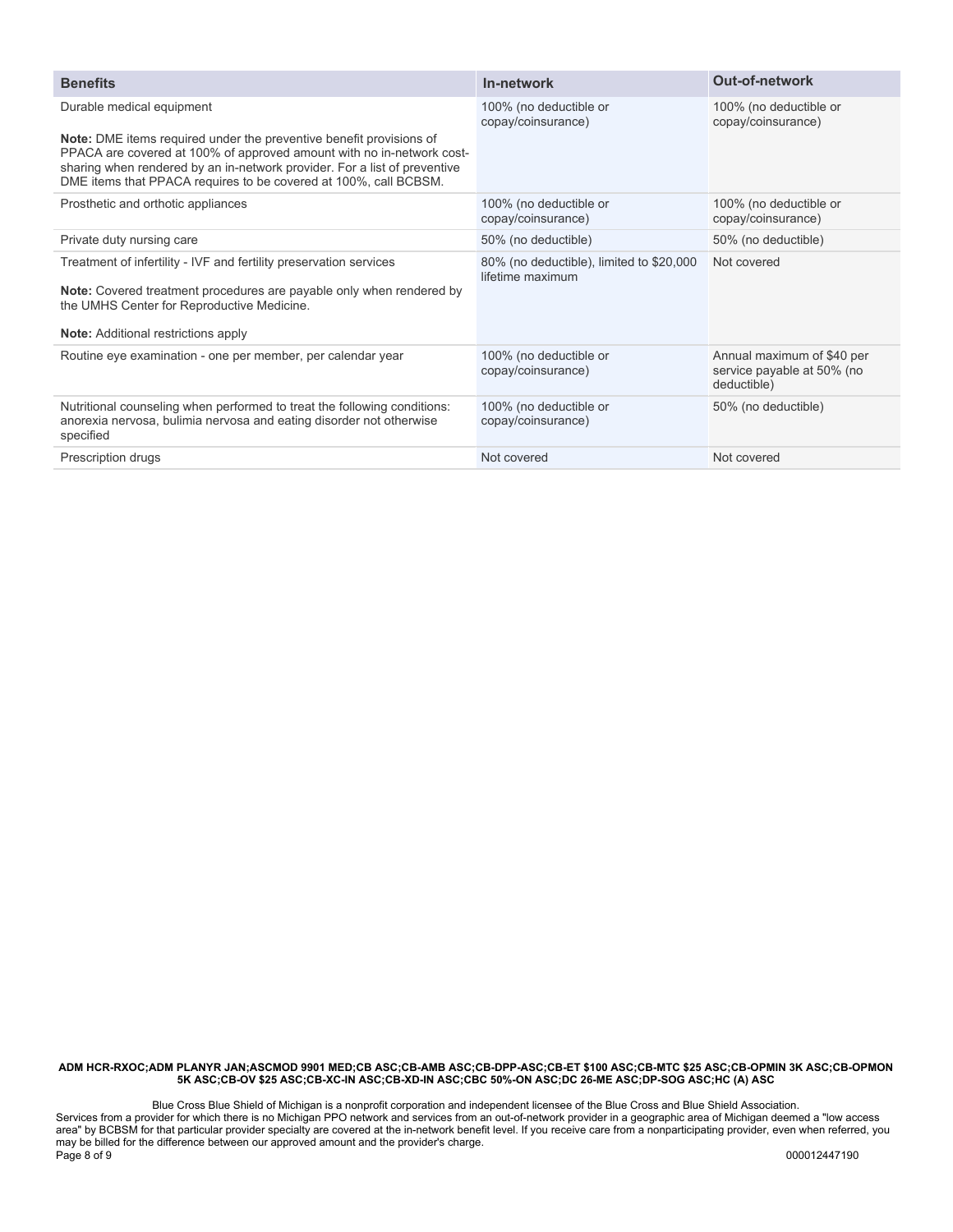| <b>Benefits</b>                                                                                                                                                                                                                                                                                      | In-network                                                   | <b>Out-of-network</b>                                                   |
|------------------------------------------------------------------------------------------------------------------------------------------------------------------------------------------------------------------------------------------------------------------------------------------------------|--------------------------------------------------------------|-------------------------------------------------------------------------|
| Durable medical equipment                                                                                                                                                                                                                                                                            | 100% (no deductible or<br>copay/coinsurance)                 | 100% (no deductible or<br>copay/coinsurance)                            |
| <b>Note:</b> DME items required under the preventive benefit provisions of<br>PPACA are covered at 100% of approved amount with no in-network cost-<br>sharing when rendered by an in-network provider. For a list of preventive<br>DME items that PPACA requires to be covered at 100%, call BCBSM. |                                                              |                                                                         |
| Prosthetic and orthotic appliances                                                                                                                                                                                                                                                                   | 100% (no deductible or<br>copay/coinsurance)                 | 100% (no deductible or<br>copay/coinsurance)                            |
| Private duty nursing care                                                                                                                                                                                                                                                                            | 50% (no deductible)                                          | 50% (no deductible)                                                     |
| Treatment of infertility - IVF and fertility preservation services<br>Note: Covered treatment procedures are payable only when rendered by<br>the UMHS Center for Reproductive Medicine.                                                                                                             | 80% (no deductible), limited to \$20,000<br>lifetime maximum | Not covered                                                             |
| <b>Note:</b> Additional restrictions apply                                                                                                                                                                                                                                                           |                                                              |                                                                         |
| Routine eye examination - one per member, per calendar year                                                                                                                                                                                                                                          | 100% (no deductible or<br>copay/coinsurance)                 | Annual maximum of \$40 per<br>service payable at 50% (no<br>deductible) |
| Nutritional counseling when performed to treat the following conditions:<br>anorexia nervosa, bulimia nervosa and eating disorder not otherwise<br>specified                                                                                                                                         | 100% (no deductible or<br>copay/coinsurance)                 | 50% (no deductible)                                                     |
| Prescription drugs                                                                                                                                                                                                                                                                                   | Not covered                                                  | Not covered                                                             |

Blue Cross Blue Shield of Michigan is a nonprofit corporation and independent licensee of the Blue Cross and Blue Shield Association. Services from a provider for which there is no Michigan PPO network and services from an out-of-network provider in a geographic area of Michigan deemed a "low access area" by BCBSM for that particular provider specialty are covered at the in-network benefit level. If you receive care from a nonparticipating provider, even when referred, you may be billed for the difference between our approved amount and the provider's charge. Page 8 of 9 000012447190